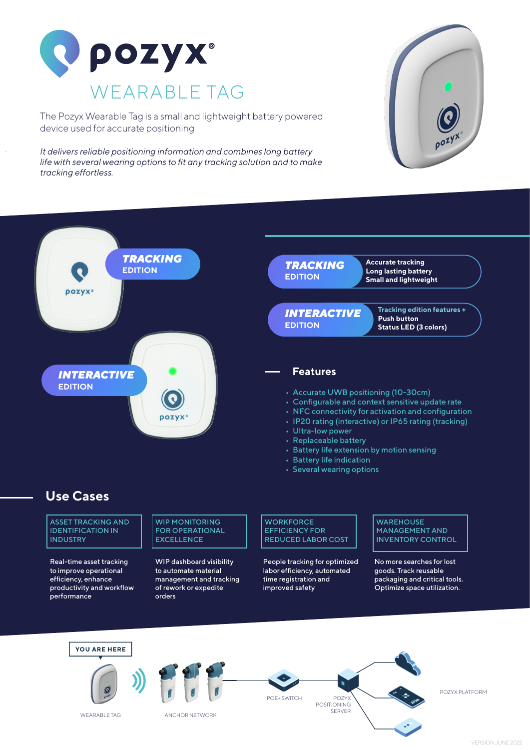

The Pozyx Wearable Tag is a small and lightweight battery powered device used for accurate positioning

*It delivers reliable positioning information and combines long battery life with several wearing options to fit any tracking solution and to make tracking effortless.*